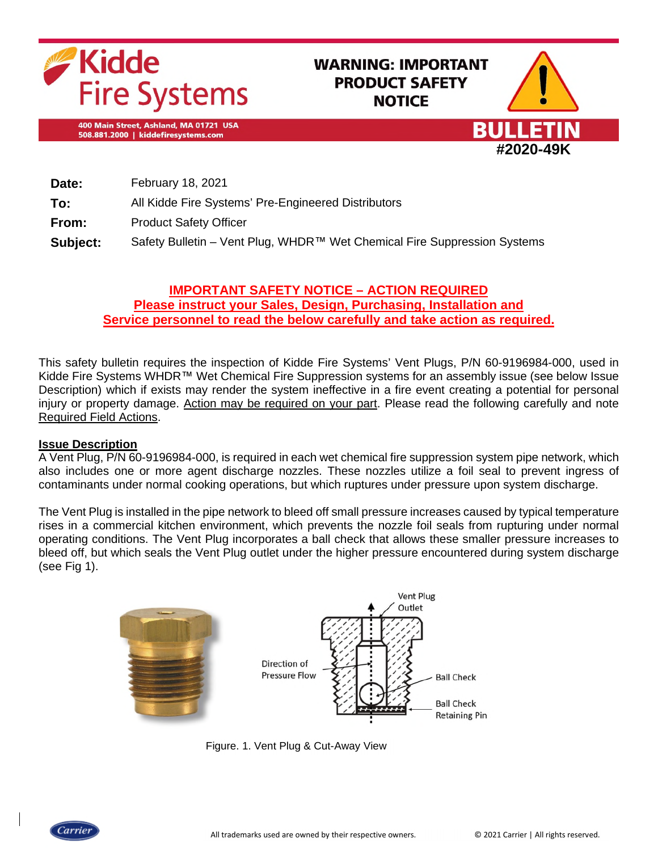

# **WARNING: IMPORTANT PRODUCT SAFETY NOTICE**

400 Main Street, Ashland, MA 01721 USA 508.881.2000 | kiddefiresystems.com



| Date:    | February 18, 2021                                                        |
|----------|--------------------------------------------------------------------------|
| To:      | All Kidde Fire Systems' Pre-Engineered Distributors                      |
| From:    | <b>Product Safety Officer</b>                                            |
| Subject: | Safety Bulletin – Vent Plug, WHDR™ Wet Chemical Fire Suppression Systems |

# **IMPORTANT SAFETY NOTICE – ACTION REQUIRED Please instruct your Sales, Design, Purchasing, Installation and Service personnel to read the below carefully and take action as required.**

This safety bulletin requires the inspection of Kidde Fire Systems' Vent Plugs, P/N 60-9196984-000, used in Kidde Fire Systems WHDR™ Wet Chemical Fire Suppression systems for an assembly issue (see below Issue Description) which if exists may render the system ineffective in a fire event creating a potential for personal injury or property damage. Action may be required on your part. Please read the following carefully and note Required Field Actions.

# **Issue Description**

A Vent Plug, P/N 60-9196984-000, is required in each wet chemical fire suppression system pipe network, which also includes one or more agent discharge nozzles. These nozzles utilize a foil seal to prevent ingress of contaminants under normal cooking operations, but which ruptures under pressure upon system discharge.

The Vent Plug is installed in the pipe network to bleed off small pressure increases caused by typical temperature rises in a commercial kitchen environment, which prevents the nozzle foil seals from rupturing under normal operating conditions. The Vent Plug incorporates a ball check that allows these smaller pressure increases to bleed off, but which seals the Vent Plug outlet under the higher pressure encountered during system discharge (see Fig 1).



Figure. 1. Vent Plug & Cut-Away View

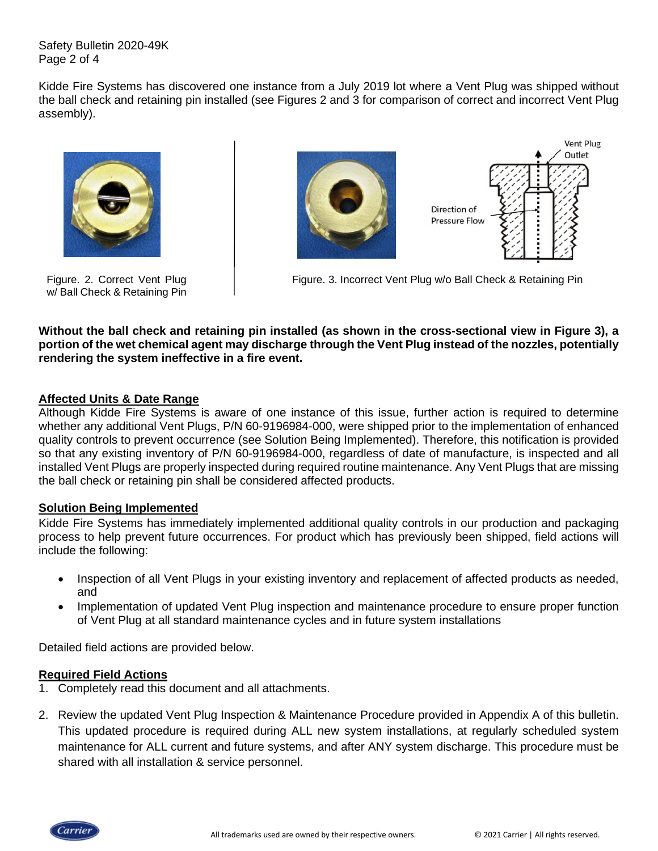Safety Bulletin 2020-49K Page 2 of 4

Kidde Fire Systems has discovered one instance from a July 2019 lot where a Vent Plug was shipped without the ball check and retaining pin installed (see Figures 2 and 3 for comparison of correct and incorrect Vent Plug assembly).



Figure. 2. Correct Vent Plug w/ Ball Check & Retaining Pin



Figure. 3. Incorrect Vent Plug w/o Ball Check & Retaining Pin

**Without the ball check and retaining pin installed (as shown in the cross-sectional view in Figure 3), a portion of the wet chemical agent may discharge through the Vent Plug instead of the nozzles, potentially rendering the system ineffective in a fire event.** 

### **Affected Units & Date Range**

Although Kidde Fire Systems is aware of one instance of this issue, further action is required to determine whether any additional Vent Plugs, P/N 60-9196984-000, were shipped prior to the implementation of enhanced quality controls to prevent occurrence (see Solution Being Implemented). Therefore, this notification is provided so that any existing inventory of P/N 60-9196984-000, regardless of date of manufacture, is inspected and all installed Vent Plugs are properly inspected during required routine maintenance. Any Vent Plugs that are missing the ball check or retaining pin shall be considered affected products.

#### **Solution Being Implemented**

Kidde Fire Systems has immediately implemented additional quality controls in our production and packaging process to help prevent future occurrences. For product which has previously been shipped, field actions will include the following:

- Inspection of all Vent Plugs in your existing inventory and replacement of affected products as needed, and
- Implementation of updated Vent Plug inspection and maintenance procedure to ensure proper function of Vent Plug at all standard maintenance cycles and in future system installations

Detailed field actions are provided below.

#### **Required Field Actions**

- 1. Completely read this document and all attachments.
- 2. Review the updated Vent Plug Inspection & Maintenance Procedure provided in Appendix A of this bulletin. This updated procedure is required during ALL new system installations, at regularly scheduled system maintenance for ALL current and future systems, and after ANY system discharge. This procedure must be shared with all installation & service personnel.

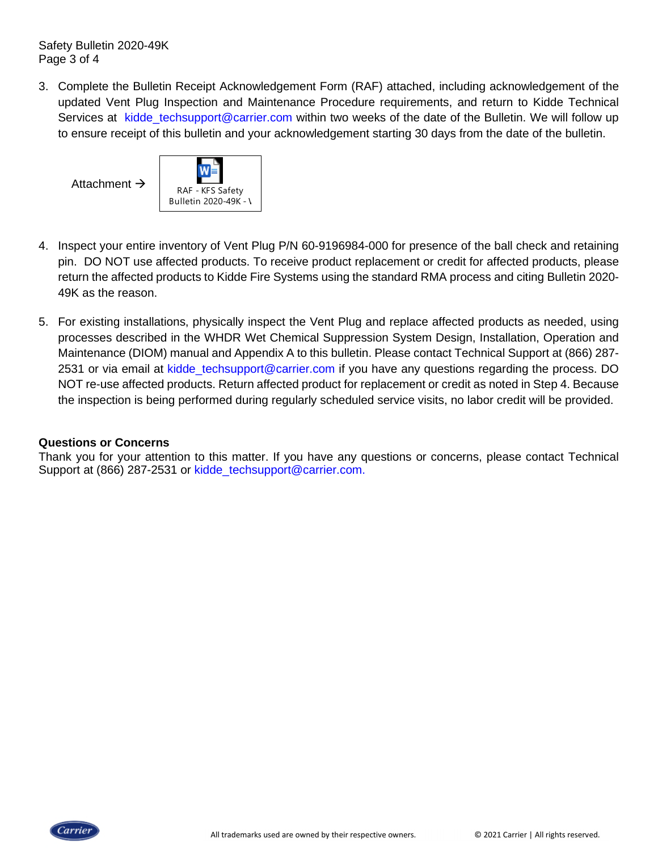Safety Bulletin 2020-49K Page 3 of 4

3. Complete the Bulletin Receipt Acknowledgement Form (RAF) attached, including acknowledgement of the updated Vent Plug Inspection and Maintenance Procedure requirements, and return to Kidde Technical Services at kidde\_techsupport@carrier.com within two weeks of the date of the Bulletin. We will follow up to ensure receipt of this bulletin and your acknowledgement starting 30 days from the date of the bulletin.

Attachment  $\rightarrow$  RAF - KFS Safety Bulletin 2020-49K - V

- 4. Inspect your entire inventory of Vent Plug P/N 60-9196984-000 for presence of the ball check and retaining pin. DO NOT use affected products. To receive product replacement or credit for affected products, please return the affected products to Kidde Fire Systems using the standard RMA process and citing Bulletin 2020- 49K as the reason.
- 5. For existing installations, physically inspect the Vent Plug and replace affected products as needed, using processes described in the WHDR Wet Chemical Suppression System Design, Installation, Operation and Maintenance (DIOM) manual and Appendix A to this bulletin. Please contact Technical Support at (866) 287- 2531 or via email at kidde techsupport@carrier.com if you have any questions regarding the process. DO NOT re-use affected products. Return affected product for replacement or credit as noted in Step 4. Because the inspection is being performed during regularly scheduled service visits, no labor credit will be provided.

#### **Questions or Concerns**

Thank you for your attention to this matter. If you have any questions or concerns, please contact Technical Support at (866) 287-2531 or kidde\_techsupport@carrier.com.